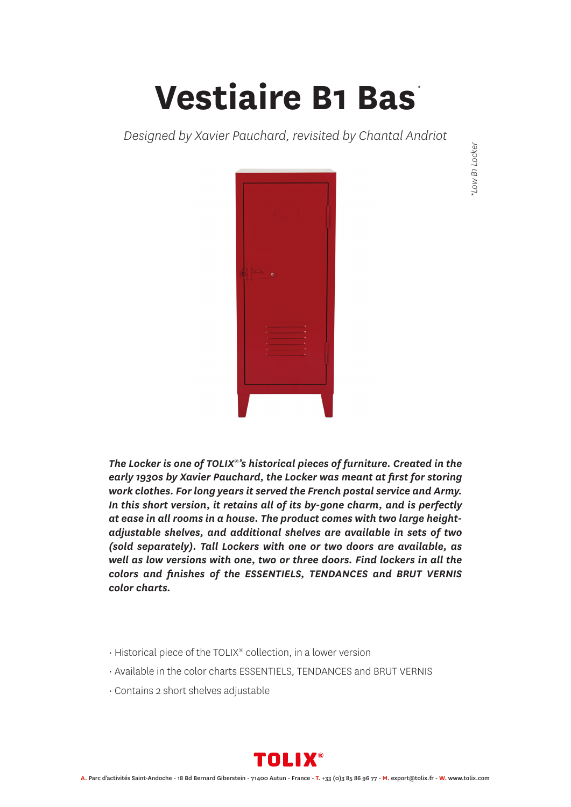## **Vestiaire B1 Bas** *\**

*Designed by Xavier Pauchard, revisited by Chantal Andriot*



*The Locker is one of TOLIX®'s historical pieces of furniture. Created in the early 1930s by Xavier Pauchard, the Locker was meant at first for storing work clothes. For long years it served the French postal service and Army. In this short version, it retains all of its by-gone charm, and is perfectly at ease in all rooms in a house. The product comes with two large heightadjustable shelves, and additional shelves are available in sets of two (sold separately). Tall Lockers with one or two doors are available, as well as low versions with one, two or three doors. Find lockers in all the colors and finishes of the ESSENTIELS, TENDANCES and BRUT VERNIS color charts.*

- Historical piece of the TOLIX® collection, in a lower version
- Available in the color charts ESSENTIELS, TENDANCES and BRUT VERNIS
- Contains 2 short shelves adjustable